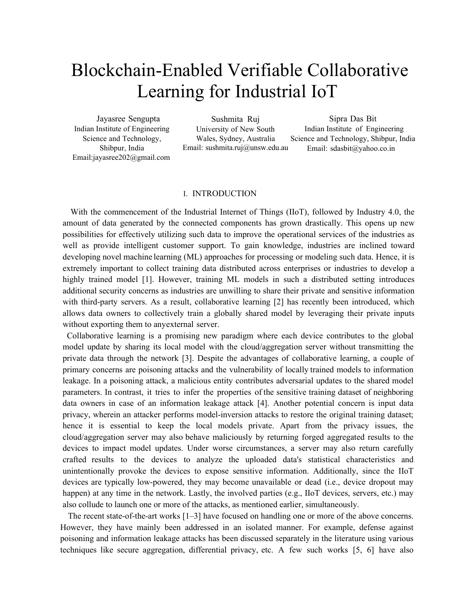# Blockchain-Enabled Verifiable Collaborative Learning for Industrial IoT

Jayasree Sengupta Indian Institute of Engineering Science and Technology, Shibpur, India Email[:jayasree202@gmail.com](mailto:jayasree202@gmail.com)

Sushmita Ruj University of New South Wales, Sydney, Australia Email: [sushmita.ruj@unsw.edu.au](mailto:sushmita.ruj@unsw.edu.au)

Sipra Das Bit Indian Institute of Engineering Science and Technology, Shibpur, India Email: [sdasbit@yahoo.co.in](mailto:sdasbit@yahoo.co.in)

## I. INTRODUCTION

With the commencement of the Industrial Internet of Things (IIoT), followed by Industry 4.0, the amount of data generated by the connected components has grown drastically. This opens up new possibilities for effectively utilizing such data to improve the operational services of the industries as well as provide intelligent customer support. To gain knowledge, industries are inclined toward developing novel machine learning (ML) approaches for processing or modeling such data. Hence, it is extremely important to collect training data distributed across enterprises or industries to develop a highly trained model [1]. However, training ML models in such a distributed setting introduces additional security concerns as industries are unwilling to share their private and sensitive information with third-party servers. As a result, collaborative learning [2] has recently been introduced, which allows data owners to collectively train a globally shared model by leveraging their private inputs without exporting them to anyexternal server.

 Collaborative learning is a promising new paradigm where each device contributes to the global model update by sharing its local model with the cloud/aggregation server without transmitting the private data through the network [3]. Despite the advantages of collaborative learning, a couple of primary concerns are poisoning attacks and the vulnerability of locally trained models to information leakage. In a poisoning attack, a malicious entity contributes adversarial updates to the shared model parameters. In contrast, it tries to infer the properties of the sensitive training dataset of neighboring data owners in case of an information leakage attack [4]. Another potential concern is input data privacy, wherein an attacker performs model-inversion attacks to restore the original training dataset; hence it is essential to keep the local models private. Apart from the privacy issues, the cloud/aggregation server may also behave maliciously by returning forged aggregated results to the devices to impact model updates. Under worse circumstances, a server may also return carefully crafted results to the devices to analyze the uploaded data's statistical characteristics and unintentionally provoke the devices to expose sensitive information. Additionally, since the IIoT devices are typically low-powered, they may become unavailable or dead (i.e., device dropout may happen) at any time in the network. Lastly, the involved parties (e.g., IIoT devices, servers, etc.) may also collude to launch one or more of the attacks, as mentioned earlier, simultaneously.

The recent state-of-the-art works [1–3] have focused on handling one or more of the above concerns. However, they have mainly been addressed in an isolated manner. For example, defense against poisoning and information leakage attacks has been discussed separately in the literature using various techniques like secure aggregation, differential privacy, etc. A few such works [5, 6] have also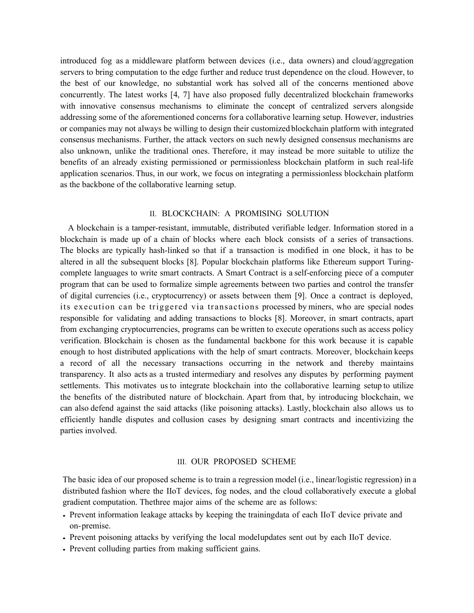introduced fog as a middleware platform between devices (i.e., data owners) and cloud/aggregation servers to bring computation to the edge further and reduce trust dependence on the cloud. However, to the best of our knowledge, no substantial work has solved all of the concerns mentioned above concurrently. The latest works [4, 7] have also proposed fully decentralized blockchain frameworks with innovative consensus mechanisms to eliminate the concept of centralized servers alongside addressing some of the aforementioned concerns for a collaborative learning setup. However, industries or companies may not always be willing to design their customized blockchain platform with integrated consensus mechanisms. Further, the attack vectors on such newly designed consensus mechanisms are also unknown, unlike the traditional ones. Therefore, it may instead be more suitable to utilize the benefits of an already existing permissioned or permissionless blockchain platform in such real-life application scenarios. Thus, in our work, we focus on integrating a permissionless blockchain platform as the backbone of the collaborative learning setup.

# II. BLOCKCHAIN: A PROMISING SOLUTION

A blockchain is a tamper-resistant, immutable, distributed verifiable ledger. Information stored in a blockchain is made up of a chain of blocks where each block consists of a series of transactions. The blocks are typically hash-linked so that if a transaction is modified in one block, it has to be altered in all the subsequent blocks [8]. Popular blockchain platforms like Ethereum support Turingcomplete languages to write smart contracts. A Smart Contract is a self-enforcing piece of a computer program that can be used to formalize simple agreements between two parties and control the transfer of digital currencies (i.e., cryptocurrency) or assets between them [9]. Once a contract is deployed, its execution can be triggered via transactions processed by miners, who are special nodes responsible for validating and adding transactions to blocks [8]. Moreover, in smart contracts, apart from exchanging cryptocurrencies, programs can be written to execute operations such as access policy verification. Blockchain is chosen as the fundamental backbone for this work because it is capable enough to host distributed applications with the help of smart contracts. Moreover, blockchain keeps a record of all the necessary transactions occurring in the network and thereby maintains transparency. It also acts as a trusted intermediary and resolves any disputes by performing payment settlements. This motivates us to integrate blockchain into the collaborative learning setup to utilize the benefits of the distributed nature of blockchain. Apart from that, by introducing blockchain, we can also defend against the said attacks (like poisoning attacks). Lastly, blockchain also allows us to efficiently handle disputes and collusion cases by designing smart contracts and incentivizing the parties involved.

### III. OUR PROPOSED SCHEME

The basic idea of our proposed scheme is to train a regression model (i.e., linear/logistic regression) in a distributed fashion where the IIoT devices, fog nodes, and the cloud collaboratively execute a global gradient computation. Thethree major aims of the scheme are as follows:

- Prevent information leakage attacks by keeping the trainingdata of each IIoT device private and on-premise.
- Prevent poisoning attacks by verifying the local modelupdates sent out by each IIoT device.
- Prevent colluding parties from making sufficient gains.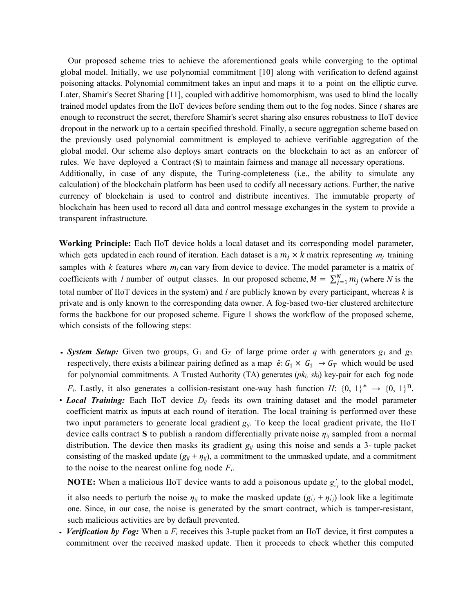Our proposed scheme tries to achieve the aforementioned goals while converging to the optimal global model. Initially, we use polynomial commitment [10] along with verification to defend against poisoning attacks. Polynomial commitment takes an input and maps it to a point on the elliptic curve. Later, Shamir's Secret Sharing [11], coupled with additive homomorphism, was used to blind the locally trained model updates from the IIoT devices before sending them out to the fog nodes. Since *t* shares are enough to reconstruct the secret, therefore Shamir's secret sharing also ensures robustness to IIoT device dropout in the network up to a certain specified threshold. Finally, a secure aggregation scheme based on the previously used polynomial commitment is employed to achieve verifiable aggregation of the global model. Our scheme also deploys smart contracts on the blockchain to act as an enforcer of rules. We have deployed a Contract (**S**) to maintain fairness and manage all necessary operations. Additionally, in case of any dispute, the Turing-completeness (i.e., the ability to simulate any calculation) of the blockchain platform has been used to codify all necessary actions. Further, the native currency of blockchain is used to control and distribute incentives. The immutable property of blockchain has been used to record all data and control message exchanges in the system to provide a transparent infrastructure.

**Working Principle:** Each IIoT device holds a local dataset and its corresponding model parameter, which gets updated in each round of iteration. Each dataset is a  $m_i \times k$  matrix representing  $m_j$  training samples with  $k$  features where  $m_j$  can vary from device to device. The model parameter is a matrix of coefficients with *l* number of output classes. In our proposed scheme,  $M = \sum_{j=1}^{N} m_j$  (where *N* is the total number of IIoT devices in the system) and *l* are publicly known by every participant, whereas *k* is private and is only known to the corresponding data owner. A fog-based two-tier clustered architecture forms the backbone for our proposed scheme. Figure 1 shows the workflow of the proposed scheme, which consists of the following steps:

- **System Setup:** Given two groups,  $G_1$  and  $G_T$  of large prime order q with generators  $g_1$  and  $g_2$ , respectively, there exists a bilinear pairing defined as a map  $\hat{e}: G_1 \times G_1 \to G_T$  which would be used for polynomial commitments. A Trusted Authority (TA) generates (*pki, ski*) key-pair for each fog node *F<sub>i</sub>*. Lastly, it also generates a collision-resistant one-way hash function *H*:  $\{0, 1\}^* \rightarrow \{0, 1\}^n$ .
- *Local Training:* Each IIoT device *Dij* feeds its own training dataset and the model parameter coefficient matrix as inputs at each round of iteration. The local training is performed over these two input parameters to generate local gradient  $g_{ij}$ . To keep the local gradient private, the IIoT device calls contract **S** to publish a random differentially private noise *ηij* sampled from a normal distribution. The device then masks its gradient *gij* using this noise and sends a 3- tuple packet consisting of the masked update  $(g_{ij} + \eta_{ij})$ , a commitment to the unmasked update, and a commitment to the noise to the nearest online fog node *Fi*.

**NOTE:** When a malicious IIoT device wants to add a poisonous update  $g'_{ij}$  to the global model,

it also needs to perturb the noise  $\eta_{ij}$  to make the masked update  $(g'_{ij} + \eta'_{ij})$  look like a legitimate one. Since, in our case, the noise is generated by the smart contract, which is tamper-resistant, such malicious activities are by default prevented.

• *Verification by Fog:* When a *Fi* receives this 3-tuple packet from an IIoT device, it first computes a commitment over the received masked update. Then it proceeds to check whether this computed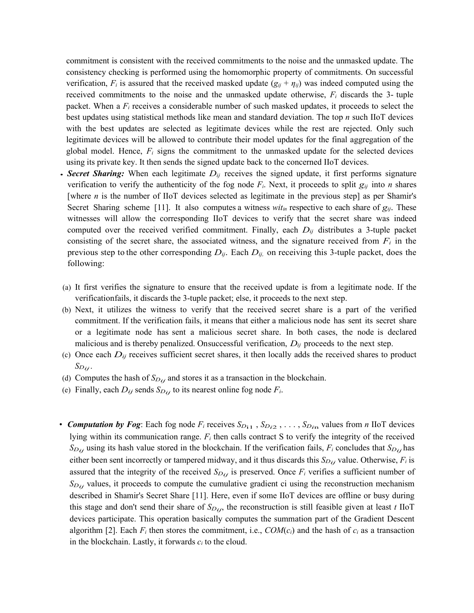commitment is consistent with the received commitments to the noise and the unmasked update. The consistency checking is performed using the homomorphic property of commitments. On successful verification,  $F_i$  is assured that the received masked update  $(g_{ij} + \eta_{ij})$  was indeed computed using the received commitments to the noise and the unmasked update otherwise,  $F_i$  discards the 3- tuple packet. When a  $F_i$  receives a considerable number of such masked updates, it proceeds to select the best updates using statistical methods like mean and standard deviation. The top *n* such IIoT devices with the best updates are selected as legitimate devices while the rest are rejected. Only such legitimate devices will be allowed to contribute their model updates for the final aggregation of the global model. Hence,  $F_i$  signs the commitment to the unmasked update for the selected devices using its private key. It then sends the signed update back to the concerned IIoT devices.

- *Secret Sharing:* When each legitimate *Dij* receives the signed update, it first performs signature verification to verify the authenticity of the fog node *Fi*. Next, it proceeds to split *gij* into *n* shares [where *n* is the number of IIoT devices selected as legitimate in the previous step] as per Shamir's Secret Sharing scheme [11]. It also computes a witness *witin* respective to each share of *gij*. These witnesses will allow the corresponding IIoT devices to verify that the secret share was indeed computed over the received verified commitment. Finally, each  $D_{ij}$  distributes a 3-tuple packet consisting of the secret share, the associated witness, and the signature received from  $F_i$  in the previous step to the other corresponding  $D_{ij}$ . Each  $D_{ij}$ , on receiving this 3-tuple packet, does the following:
- (a) It first verifies the signature to ensure that the received update is from a legitimate node. If the verificationfails, it discards the 3-tuple packet; else, it proceeds to the next step.
- (b) Next, it utilizes the witness to verify that the received secret share is a part of the verified commitment. If the verification fails, it means that either a malicious node has sent its secret share or a legitimate node has sent a malicious secret share. In both cases, the node is declared malicious and is thereby penalized. Onsuccessful verification, *Dij* proceeds to the next step.
- (c) Once each  $D_{ij}$  receives sufficient secret shares, it then locally adds the received shares to product *SDij*.
- (d) Computes the hash of  $S_{D_{ij}}$  and stores it as a transaction in the blockchain.
- (e) Finally, each  $D_{ij}$  sends  $S_{Dij}$  to its nearest online fog node  $F_i$ .
- *Computation by Fog*: Each fog node  $F_i$  receives  $S_{D_{11}}$ ,  $S_{D_{i2}}$ , ...,  $S_{D_{i1}}$  values from *n* IIoT devices lying within its communication range. *Fi* then calls contract S to verify the integrity of the received  $S_{D_{ij}}$  using its hash value stored in the blockchain. If the verification fails,  $F_i$  concludes that  $S_{D_{ij}}$  has either been sent incorrectly or tampered midway, and it thus discards this  $S_{D_{ij}}$  value. Otherwise,  $F_i$  is assured that the integrity of the received  $S_{D_{ij}}$  is preserved. Once  $F_i$  verifies a sufficient number of  $S_{D_{ij}}$  values, it proceeds to compute the cumulative gradient ci using the reconstruction mechanism described in Shamir's Secret Share [11]. Here, even if some IIoT devices are offline or busy during this stage and don't send their share of  $S_{Dij}$ , the reconstruction is still feasible given at least *t* IIoT devices participate. This operation basically computes the summation part of the Gradient Descent algorithm [2]. Each  $F_i$  then stores the commitment, i.e.,  $COM(c_i)$  and the hash of  $c_i$  as a transaction in the blockchain. Lastly, it forwards  $c_i$  to the cloud.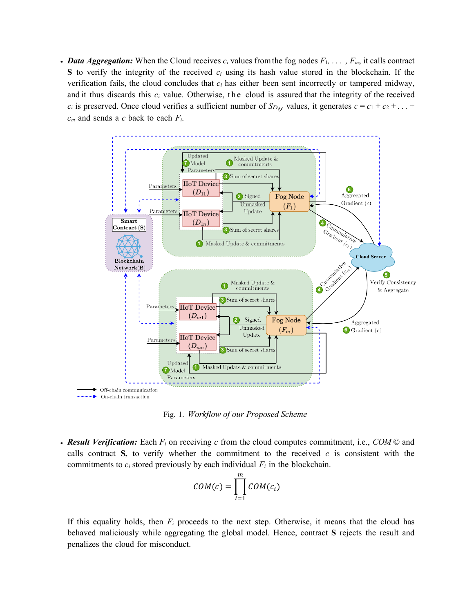• *Data Aggregation:* When the Cloud receives  $c_i$  values from the fog nodes  $F_1, \ldots, F_m$ , it calls contract **S** to verify the integrity of the received *ci* using its hash value stored in the blockchain. If the verification fails, the cloud concludes that *ci* has either been sent incorrectly or tampered midway, and it thus discards this *ci* value. Otherwise, the cloud is assured that the integrity of the received *c<sub>i</sub>* is preserved. Once cloud verifies a sufficient number of  $S_{D_{ij}}$  values, it generates  $c = c_1 + c_2 + \ldots$ *cm* and sends a *c* back to each *Fi*.



Fig. 1. *Workflow of our Proposed Scheme*

• *Result Verification:* Each *Fi* on receiving *c* from the cloud computes commitment, i.e., *COM* © and calls contract  $S$ , to verify whether the commitment to the received  $c$  is consistent with the commitments to  $c_i$  stored previously by each individual  $F_i$  in the blockchain.

$$
COM(c) = \prod_{i=1}^{m} COM(c_i)
$$

If this equality holds, then  $F_i$  proceeds to the next step. Otherwise, it means that the cloud has behaved maliciously while aggregating the global model. Hence, contract **S** rejects the result and penalizes the cloud for misconduct.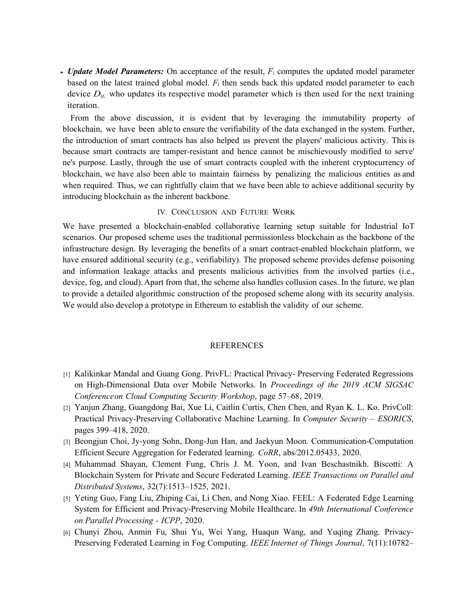• *Update Model Parameters:* On acceptance of the result, *Fi* computes the updated model parameter based on the latest trained global model. *Fi* then sends back this updated model parameter to each device  $D_{ij}$ , who updates its respective model parameter which is then used for the next training iteration.

From the above discussion, it is evident that by leveraging the immutability property of blockchain, we have been able to ensure the verifiability of the data exchanged in the system. Further, the introduction of smart contracts has also helped us prevent the players' malicious activity. This is because smart contracts are tamper-resistant and hence cannot be mischievously modified to serve' ne's purpose. Lastly, through the use of smart contracts coupled with the inherent cryptocurrency of blockchain, we have also been able to maintain fairness by penalizing the malicious entities as and when required. Thus, we can rightfully claim that we have been able to achieve additional security by introducing blockchain as the inherent backbone.

#### IV. CONCLUSION AND FUTURE WORK

We have presented a blockchain-enabled collaborative learning setup suitable for Industrial IoT scenarios. Our proposed scheme uses the traditional permissionless blockchain as the backbone of the infrastructure design. By leveraging the benefits of a smart contract-enabled blockchain platform, we have ensured additional security (e.g., verifiability). The proposed scheme provides defense poisoning and information leakage attacks and presents malicious activities from the involved parties (i.e., device, fog, and cloud).Apart from that, the scheme also handles collusion cases. In the future, we plan to provide a detailed algorithmic construction of the proposed scheme along with its security analysis. We would also develop a prototype in Ethereum to establish the validity of our scheme.

#### REFERENCES

- [1] Kalikinkar Mandal and Guang Gong. PrivFL: Practical Privacy- Preserving Federated Regressions on High-Dimensional Data over Mobile Networks. In *Proceedings of the 2019 ACM SIGSAC Conferenceon Cloud Computing Security Workshop*, page 57–68, 2019.
- [2] Yanjun Zhang, Guangdong Bai, Xue Li, Caitlin Curtis, Chen Chen, and Ryan K. L. Ko. PrivColl: Practical Privacy-Preserving Collaborative Machine Learning. In *Computer Security – ESORICS*, pages 399–418, 2020.
- [3] Beongjun Choi, Jy-yong Sohn, Dong-Jun Han, and Jaekyun Moon. Communication-Computation Efficient Secure Aggregation for Federated learning. *CoRR*, abs/2012.05433, 2020.
- [4] Muhammad Shayan, Clement Fung, Chris J. M. Yoon, and Ivan Beschastnikh. Biscotti: A Blockchain System for Private and Secure Federated Learning. *IEEE Transactions on Parallel and Distributed Systems*, 32(7):1513–1525, 2021.
- [5] Yeting Guo, Fang Liu, Zhiping Cai, Li Chen, and Nong Xiao. FEEL: A Federated Edge Learning System for Efficient and Privacy-Preserving Mobile Healthcare. In *49th International Conference on Parallel Processing - ICPP*, 2020.
- [6] Chunyi Zhou, Anmin Fu, Shui Yu, Wei Yang, Huaqun Wang, and Yuqing Zhang. Privacy-Preserving Federated Learning in Fog Computing. *IEEE Internet of Things Journal*, 7(11):10782–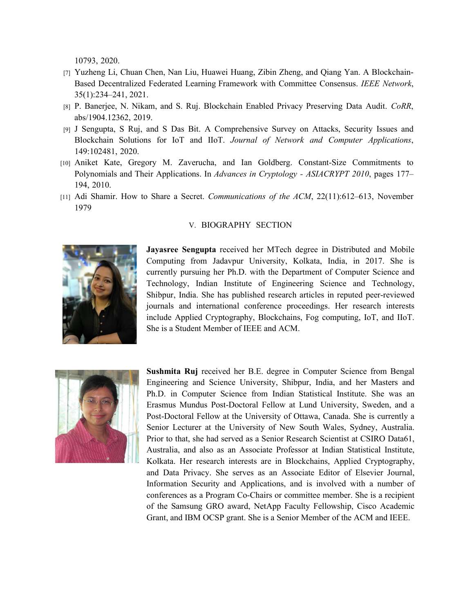10793, 2020.

- [7] Yuzheng Li, Chuan Chen, Nan Liu, Huawei Huang, Zibin Zheng, and Qiang Yan. A Blockchain-Based Decentralized Federated Learning Framework with Committee Consensus. *IEEE Network*, 35(1):234–241, 2021.
- [8] P. Banerjee, N. Nikam, and S. Ruj. Blockchain Enabled Privacy Preserving Data Audit. *CoRR*, abs/1904.12362, 2019.
- [9] J Sengupta, S Ruj, and S Das Bit. A Comprehensive Survey on Attacks, Security Issues and Blockchain Solutions for IoT and IIoT. *Journal of Network and Computer Applications*, 149:102481, 2020.
- [10] Aniket Kate, Gregory M. Zaverucha, and Ian Goldberg. Constant-Size Commitments to Polynomials and Their Applications. In *Advances in Cryptology - ASIACRYPT 2010*, pages 177– 194, 2010.
- [11] Adi Shamir. How to Share a Secret. *Communications of the ACM*, 22(11):612–613, November 1979

# V. BIOGRAPHY SECTION

**Jayasree Sengupta** received her MTech degree in Distributed and Mobile Computing from Jadavpur University, Kolkata, India, in 2017. She is currently pursuing her Ph.D. with the Department of Computer Science and Technology, Indian Institute of Engineering Science and Technology, Shibpur, India. She has published research articles in reputed peer-reviewed journals and international conference proceedings. Her research interests include Applied Cryptography, Blockchains, Fog computing, IoT, and IIoT. She is a Student Member of IEEE and ACM.



**Sushmita Ruj** received her B.E. degree in Computer Science from Bengal Engineering and Science University, Shibpur, India, and her Masters and Ph.D. in Computer Science from Indian Statistical Institute. She was an Erasmus Mundus Post-Doctoral Fellow at Lund University, Sweden, and a Post-Doctoral Fellow at the University of Ottawa, Canada. She is currently a Senior Lecturer at the University of New South Wales, Sydney, Australia. Prior to that, she had served as a Senior Research Scientist at CSIRO Data61, Australia, and also as an Associate Professor at Indian Statistical Institute, Kolkata. Her research interests are in Blockchains, Applied Cryptography, and Data Privacy. She serves as an Associate Editor of Elsevier Journal, Information Security and Applications, and is involved with a number of conferences as a Program Co-Chairs or committee member. She is a recipient of the Samsung GRO award, NetApp Faculty Fellowship, Cisco Academic Grant, and IBM OCSP grant. She is a Senior Member of the ACM and IEEE.